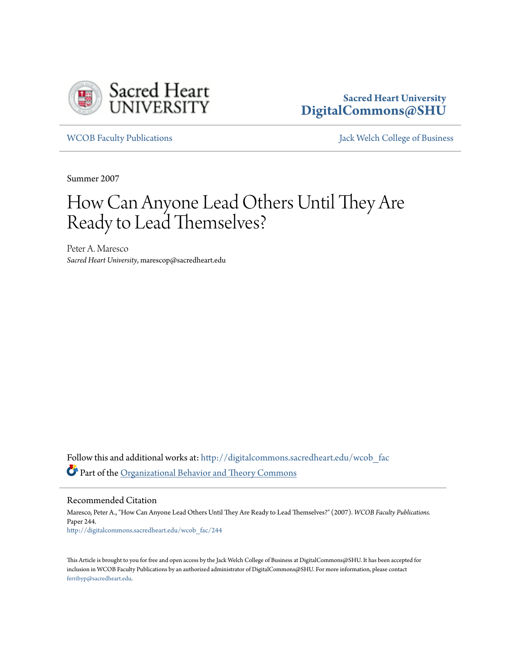

## **Sacred Heart University [DigitalCommons@SHU](http://digitalcommons.sacredheart.edu?utm_source=digitalcommons.sacredheart.edu%2Fwcob_fac%2F244&utm_medium=PDF&utm_campaign=PDFCoverPages)**

[WCOB Faculty Publications](http://digitalcommons.sacredheart.edu/wcob_fac?utm_source=digitalcommons.sacredheart.edu%2Fwcob_fac%2F244&utm_medium=PDF&utm_campaign=PDFCoverPages) [Jack Welch College of Business](http://digitalcommons.sacredheart.edu/wcob?utm_source=digitalcommons.sacredheart.edu%2Fwcob_fac%2F244&utm_medium=PDF&utm_campaign=PDFCoverPages)

Summer 2007

## How Can Anyone Lead Others Until They Are Ready to Lead Themselves?

Peter A. Maresco *Sacred Heart University*, marescop@sacredheart.edu

Follow this and additional works at: [http://digitalcommons.sacredheart.edu/wcob\\_fac](http://digitalcommons.sacredheart.edu/wcob_fac?utm_source=digitalcommons.sacredheart.edu%2Fwcob_fac%2F244&utm_medium=PDF&utm_campaign=PDFCoverPages) Part of the [Organizational Behavior and Theory Commons](http://network.bepress.com/hgg/discipline/639?utm_source=digitalcommons.sacredheart.edu%2Fwcob_fac%2F244&utm_medium=PDF&utm_campaign=PDFCoverPages)

Recommended Citation

Maresco, Peter A., "How Can Anyone Lead Others Until They Are Ready to Lead Themselves?" (2007). *WCOB Faculty Publications.* Paper 244. [http://digitalcommons.sacredheart.edu/wcob\\_fac/244](http://digitalcommons.sacredheart.edu/wcob_fac/244?utm_source=digitalcommons.sacredheart.edu%2Fwcob_fac%2F244&utm_medium=PDF&utm_campaign=PDFCoverPages)

This Article is brought to you for free and open access by the Jack Welch College of Business at DigitalCommons@SHU. It has been accepted for inclusion in WCOB Faculty Publications by an authorized administrator of DigitalCommons@SHU. For more information, please contact [ferribyp@sacredheart.edu](mailto:ferribyp@sacredheart.edu).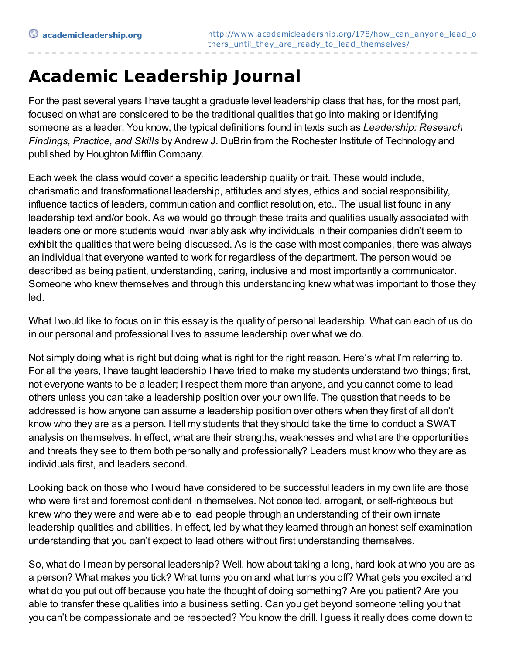## **Academic Leadership Journal**

For the past several years I have taught a graduate level leadership class that has, for the most part, focused on what are considered to be the traditional qualities that go into making or identifying someone as a leader. You know, the typical definitions found in texts such as *Leadership: Research Findings, Practice, and Skills* by Andrew J. DuBrin from the Rochester Institute of Technology and published by Houghton Mifflin Company.

Each week the class would cover a specific leadership quality or trait. These would include, charismatic and transformational leadership, attitudes and styles, ethics and social responsibility, influence tactics of leaders, communication and conflict resolution, etc.. The usual list found in any leadership text and/or book. As we would go through these traits and qualities usually associated with leaders one or more students would invariably ask why individuals in their companies didn't seem to exhibit the qualities that were being discussed. As is the case with most companies, there was always an individual that everyone wanted to work for regardless of the department. The person would be described as being patient, understanding, caring, inclusive and most importantly a communicator. Someone who knew themselves and through this understanding knew what was important to those they led.

What I would like to focus on in this essay is the quality of personal leadership. What can each of us do in our personal and professional lives to assume leadership over what we do.

Not simply doing what is right but doing what is right for the right reason. Here's what I'm referring to. For all the years, I have taught leadership I have tried to make my students understand two things; first, not everyone wants to be a leader; Irespect them more than anyone, and you cannot come to lead others unless you can take a leadership position over your own life. The question that needs to be addressed is how anyone can assume a leadership position over others when they first of all don't know who they are as a person. I tell my students that they should take the time to conduct a SWAT analysis on themselves. In effect, what are their strengths, weaknesses and what are the opportunities and threats they see to them both personally and professionally? Leaders must know who they are as individuals first, and leaders second.

Looking back on those who I would have considered to be successful leaders in my own life are those who were first and foremost confident in themselves. Not conceited, arrogant, or self-righteous but knew who they were and were able to lead people through an understanding of their own innate leadership qualities and abilities. In effect, led by what they learned through an honest self examination understanding that you can't expect to lead others without first understanding themselves.

So, what do I mean by personal leadership? Well, how about taking a long, hard look at who you are as a person? What makes you tick? What turns you on and what turns you off? What gets you excited and what do you put out off because you hate the thought of doing something? Are you patient? Are you able to transfer these qualities into a business setting. Can you get beyond someone telling you that you can't be compassionate and be respected? You know the drill. I guess it really does come down to